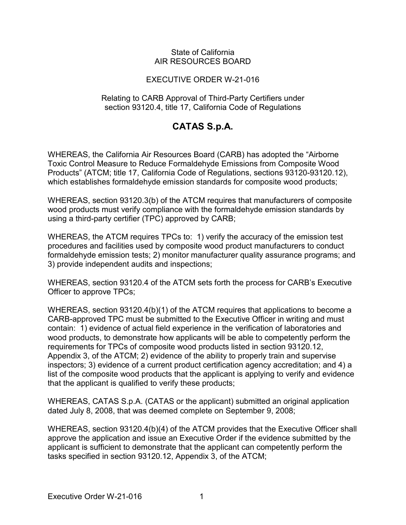## State of California AIR RESOURCES BOARD

## EXECUTIVE ORDER W-21-016

## Relating to CARB Approval of Third-Party Certifiers under section 93120.4, title 17, California Code of Regulations

## **CATAS S.p.A.**

 which establishes formaldehyde emission standards for composite wood products; WHEREAS, the California Air Resources Board (CARB) has adopted the "Airborne Toxic Control Measure to Reduce Formaldehyde Emissions from Composite Wood Products" (ATCM; title 17, California Code of Regulations, sections 93120-93120.12),

 using a third-party certifier (TPC) approved by CARB; WHEREAS, section 93120.3(b) of the ATCM requires that manufacturers of composite wood products must verify compliance with the formaldehyde emission standards by

 WHEREAS, the ATCM requires TPCs to: 1) verify the accuracy of the emission test procedures and facilities used by composite wood product manufacturers to conduct formaldehyde emission tests; 2) monitor manufacturer quality assurance programs; and 3) provide independent audits and inspections;

 WHEREAS, section 93120.4 of the ATCM sets forth the process for CARB's Executive Officer to approve TPCs;

 CARB-approved TPC must be submitted to the Executive Officer in writing and must contain: 1) evidence of actual field experience in the verification of laboratories and that the applicant is qualified to verify these products; WHEREAS, section 93120.4(b)(1) of the ATCM requires that applications to become a wood products, to demonstrate how applicants will be able to competently perform the requirements for TPCs of composite wood products listed in section 93120.12, Appendix 3, of the ATCM; 2) evidence of the ability to properly train and supervise inspectors; 3) evidence of a current product certification agency accreditation; and 4) a list of the composite wood products that the applicant is applying to verify and evidence

WHEREAS, CATAS S.p.A. (CATAS or the applicant) submitted an original application dated July 8, 2008, that was deemed complete on September 9, 2008;

 approve the application and issue an Executive Order if the evidence submitted by the tasks specified in section 93120.12, Appendix 3, of the ATCM; WHEREAS, section 93120.4(b)(4) of the ATCM provides that the Executive Officer shall applicant is sufficient to demonstrate that the applicant can competently perform the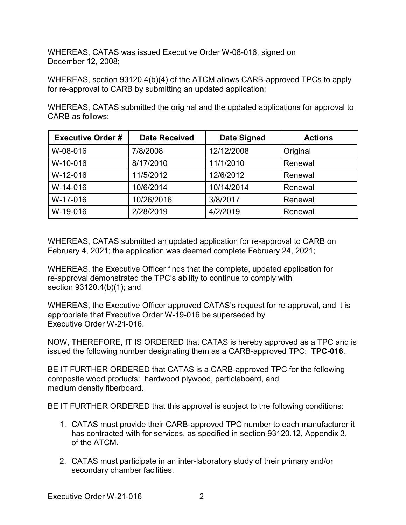WHEREAS, CATAS was issued Executive Order W-08-016, signed on December 12, 2008;

 WHEREAS, section 93120.4(b)(4) of the ATCM allows CARB-approved TPCs to apply for re-approval to CARB by submitting an updated application;

 WHEREAS, CATAS submitted the original and the updated applications for approval to CARB as follows:

| <b>Executive Order#</b> | <b>Date Received</b> | <b>Date Signed</b> | <b>Actions</b> |
|-------------------------|----------------------|--------------------|----------------|
| W-08-016                | 7/8/2008             | 12/12/2008         | Original       |
| W-10-016                | 8/17/2010            | 11/1/2010          | Renewal        |
| W-12-016                | 11/5/2012            | 12/6/2012          | Renewal        |
| W-14-016                | 10/6/2014            | 10/14/2014         | Renewal        |
| W-17-016                | 10/26/2016           | 3/8/2017           | Renewal        |
| W-19-016                | 2/28/2019            | 4/2/2019           | Renewal        |

 February 4, 2021; the application was deemed complete February 24, 2021; WHEREAS, CATAS submitted an updated application for re-approval to CARB on

 section 93120.4(b)(1); and WHEREAS, the Executive Officer finds that the complete, updated application for re-approval demonstrated the TPC's ability to continue to comply with

 appropriate that Executive Order W-19-016 be superseded by Executive Order W-21-016. WHEREAS, the Executive Officer approved CATAS's request for re-approval, and it is

 NOW, THEREFORE, IT IS ORDERED that CATAS is hereby approved as a TPC and is issued the following number designating them as a CARB-approved TPC: **TPC-016**.

 BE IT FURTHER ORDERED that CATAS is a CARB-approved TPC for the following composite wood products: hardwood plywood, particleboard, and medium density fiberboard.

medium density fiberboard.<br>BE IT FURTHER ORDERED that this approval is subject to the following conditions:

- 1. CATAS must provide their CARB-approved TPC number to each manufacturer it of the ATCM. has contracted with for services, as specified in section 93120.12, Appendix 3,
- 2. CATAS must participate in an inter-laboratory study of their primary and/or secondary chamber facilities.